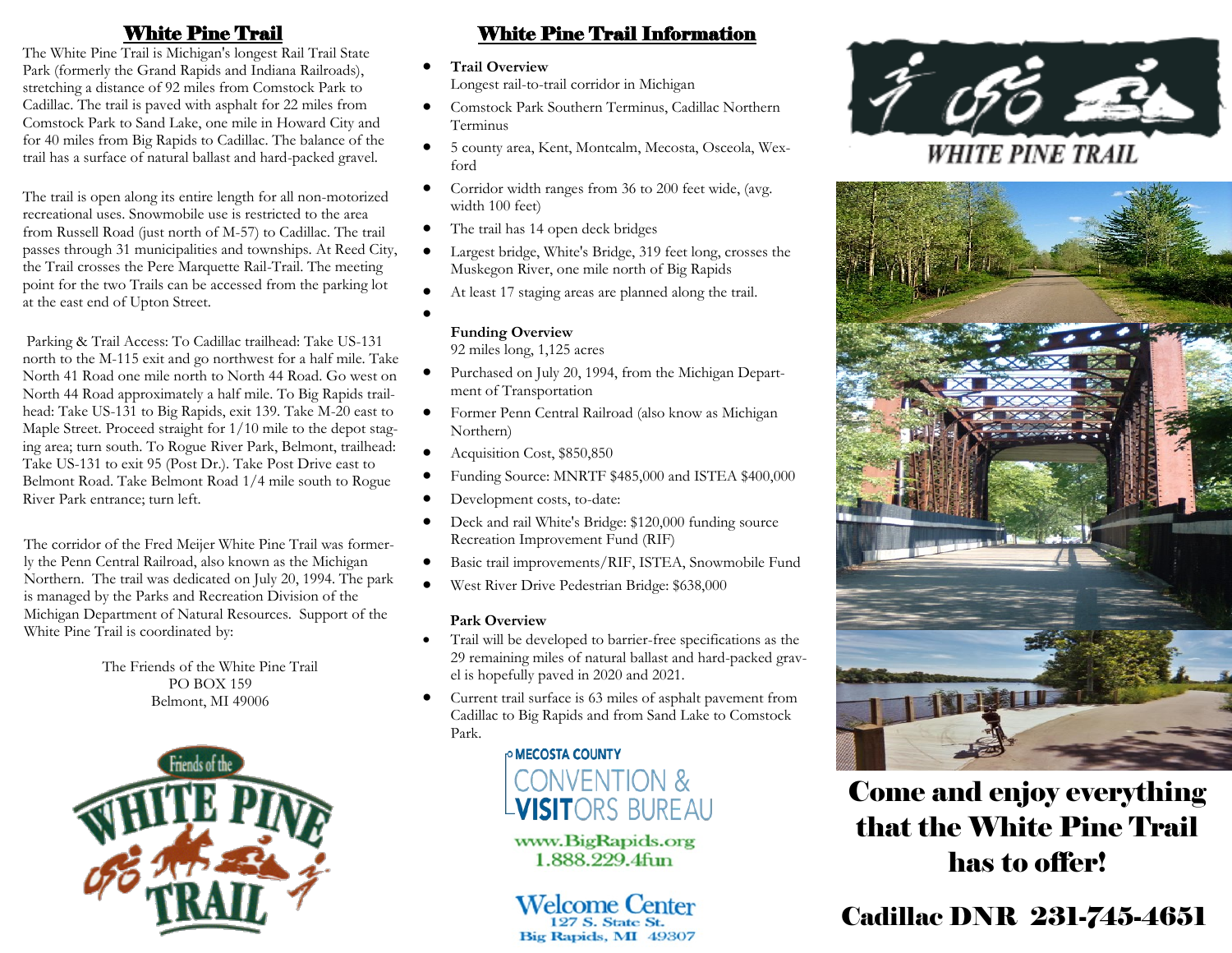The White Pine Trail is Michigan's longest Rail Trail State Park (formerly the Grand Rapids and Indiana Railroads), stretching a distance of 92 miles from Comstock Park to Cadillac. The trail is paved with asphalt for 22 miles from Comstock Park to Sand Lake, one mile in Howard City and for 40 miles from Big Rapids to Cadillac. The balance of the trail has a surface of natural ballast and hard-packed gravel.

The trail is open along its entire length for all non-motorized recreational uses. Snowmobile use is restricted to the area from Russell Road (just north of M-57) to Cadillac. The trail passes through 31 municipalities and townships. At Reed City, the Trail crosses the Pere Marquette Rail-Trail. The meeting point for the two Trails can be accessed from the parking lot at the east end of Upton Street.

Parking & Trail Access: To Cadillac trailhead: Take US-131 north to the M-115 exit and go northwest for a half mile. Take North 41 Road one mile north to North 44 Road. Go west on North 44 Road approximately a half mile. To Big Rapids trailhead: Take US-131 to Big Rapids, exit 139. Take M-20 east to Maple Street. Proceed straight for 1/10 mile to the depot staging area; turn south. To Rogue River Park, Belmont, trailhead: Take US-131 to exit 95 (Post Dr.). Take Post Drive east to Belmont Road. Take Belmont Road 1/4 mile south to Rogue River Park entrance; turn left.

The corridor of the Fred Meijer White Pine Trail was formerly the Penn Central Railroad, also known as the Michigan Northern. The trail was dedicated on July 20, 1994. The park is managed by the Parks and Recreation Division of the Michigan Department of Natural Resources. Support of the White Pine Trail is coordinated by:

> The Friends of the White Pine Trail PO BOX 159 Belmont, MI 49006



## White Pine Trail White Pine Trail Information

- **Trail Overview** Longest rail-to-trail corridor in Michigan
- Comstock Park Southern Terminus, Cadillac Northern Terminus
- 5 county area, Kent, Montcalm, Mecosta, Osceola, Wexford
- Corridor width ranges from 36 to 200 feet wide, (avg. width 100 feet)
- The trail has 14 open deck bridges
- Largest bridge, White's Bridge, 319 feet long, crosses the Muskegon River, one mile north of Big Rapids
- At least 17 staging areas are planned along the trail.
- $\bullet$

### **Funding Overview**

92 miles long, 1,125 acres

- Purchased on July 20, 1994, from the Michigan Department of Transportation
- Former Penn Central Railroad (also know as Michigan Northern)
- Acquisition Cost, \$850,850
- Funding Source: MNRTF \$485,000 and ISTEA \$400,000
- Development costs, to-date:
- Deck and rail White's Bridge: \$120,000 funding source Recreation Improvement Fund (RIF)
- Basic trail improvements/RIF, ISTEA, Snowmobile Fund
- West River Drive Pedestrian Bridge: \$638,000

#### **Park Overview**

- Trail will be developed to barrier-free specifications as the 29 remaining miles of natural ballast and hard-packed gravel is hopefully paved in 2020 and 2021.
- Current trail surface is 63 miles of asphalt pavement from Cadillac to Big Rapids and from Sand Lake to Comstock Park.

**P MECOSTA COUNTY CONVENTION & VISITORS BUREAU** 

www.BigRapids.org 1.888.229.4fun

# **Welcome Center**

127 S. State St. Big Rapids, MI 49307



**WHITE PINE TRAIL** 



Come and enjoy everything that the White Pine Trail has to offer!

Cadillac DNR 231-745-4651